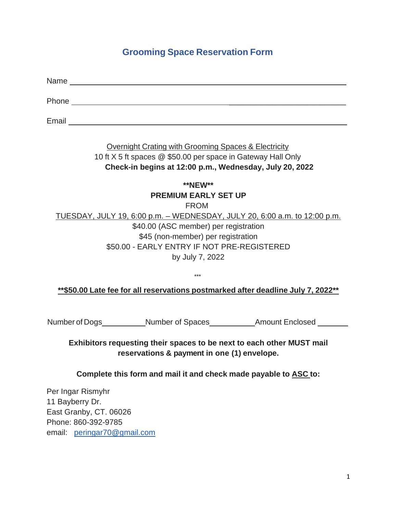## **Grooming Space Reservation Form**

Name with the contract of the contract of the contract of the contract of the contract of the contract of the contract of the contract of the contract of the contract of the contract of the contract of the contract of the Phone  $\blacksquare$ Email **Email and the contract of the contract of the contract of the contract of the contract of the contract of the contract of the contract of the contract of the contract of the contract of the contract of the contract** 

> Overnight Crating with Grooming Spaces & Electricity 10 ft X 5 ft spaces @ \$50.00 per space in Gateway Hall Only  **Check-in begins at 12:00 p.m., Wednesday, July 20, 2022**

**\*\*NEW\*\* PREMIUM EARLY SET UP** FROM TUESDAY, JULY 19, 6:00 p.m. – WEDNESDAY, JULY 20, 6:00 a.m. to 12:00 p.m. \$40.00 (ASC member) per registration \$45 (non-member) per registration \$50.00 - EARLY ENTRY IF NOT PRE-REGISTERED by July 7, 2022

**\*\*\$50.00 Late fee for all reservations postmarked after deadline July 7, 2022\*\***

\*\*\*

Number of Dogs Number of Spaces Amount Enclosed

**Exhibitors requesting their spaces to be next to each other MUST mail reservations & payment in one (1) envelope.**

**Complete this form and mail it and check made payable to ASC to:**

Per Ingar Rismyhr 11 Bayberry Dr. East Granby, CT. 06026 Phone: 860-392-9785 email: [peringar70@gmail.com](mailto:peringar70@gmail.com)